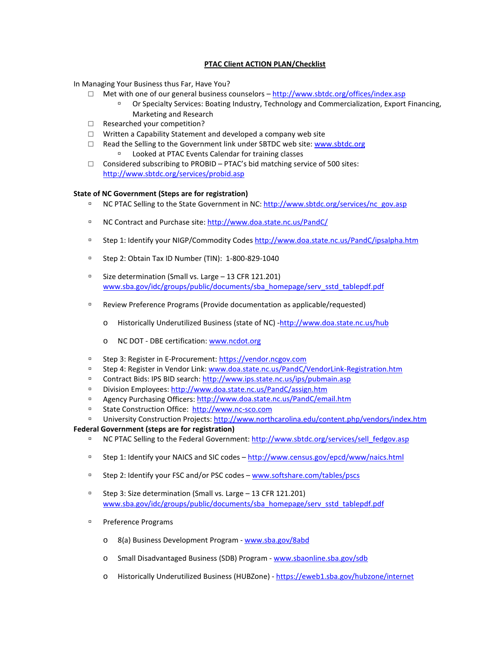# **PTAC Client ACTION PLAN/Checklist**

In Managing Your Business thus Far, Have You?

- $\Box$  Met with one of our general business counselors <http://www.sbtdc.org/offices/index.asp>
	- Or Specialty Services: Boating Industry, Technology and Commercialization, Export Financing, Marketing and Research
- □ Researched your competition?
- □ Written a Capability Statement and developed a company web site
- □ Read the Selling to the Government link under SBTDC web site[: www.sbtdc.org](http://www.sbtdc.org/) Looked at PTAC Events Calendar for training classes
- $\Box$  Considered subscribing to PROBID PTAC's bid matching service of 500 sites: <http://www.sbtdc.org/services/probid.asp>

## **State of NC Government (Steps are for registration)**

- □ NC PTAC Selling to the State Government in NC[: http://www.sbtdc.org/services/nc\\_gov.asp](http://www.sbtdc.org/services/nc_gov.asp)
- □ NC Contract and Purchase site[: http://www.doa.state.nc.us/PandC/](http://www.doa.state.nc.us/PandC/)
- Step 1: Identify your NIGP/Commodity Code[s http://www.doa.state.nc.us/PandC/ipsalpha.htm](http://www.doa.state.nc.us/PandC/ipsalpha.htm)
- Step 2: Obtain Tax ID Number (TIN): 1-800-829-1040
- □ Size determination (Small vs. Large 13 CFR 121.201) [www.sba.gov/idc/groups/public/documents/sba\\_homepage/serv\\_sstd\\_tablepdf.pdf](http://www.sba.gov/idc/groups/public/documents/sba_homepage/serv_sstd_tablepdf.pdf)
- Review Preference Programs (Provide documentation as applicable/requested)
	- o Historically Underutilized Business (state of NC) [-http://www.doa.state.nc.us/hub](http://www.doa.state.nc.us/hub)
	- o NC DOT DBE certification: [www.ncdot.org](http://www.ncdot.org/)
- □ Step 3: Register in E-Procurement: [https://vendor.ncgov.com](https://vendor.ncgov.com/)
- □ Step 4: Register in Vendor Link: [www.doa.state.nc.us/PandC/VendorLink-Registration.htm](http://www.doa.state.nc.us/PandC/VendorLink-Registration.htm)
- Contract Bids: IPS BID search[: http://www.ips.state.nc.us/ips/pubmain.asp](http://www.ips.state.nc.us/ips/pubmain.asp)
- Division Employees:<http://www.doa.state.nc.us/PandC/assign.htm>
- Agency Purchasing Officers:<http://www.doa.state.nc.us/PandC/email.htm>
- □ State Construction Office: [http://www.nc-sco.com](http://www.nc-sco.com/)
- □ University Construction Projects[: http://www.northcarolina.edu/content.php/vendors/index.htm](http://www.northcarolina.edu/content.php/vendors/index.htm)

## **Federal Government (steps are for registration)**

- NC PTAC Selling to the Federal Government: [http://www.sbtdc.org/services/sell\\_fedgov.asp](http://www.sbtdc.org/services/sell_fedgov.asp)
- □ Step 1: Identify your NAICS and SIC codes http://www.census.gov/epcd/www/naics.html
- □ Step 2: Identify your FSC and/or PSC codes [www.softshare.com/tables/pscs](http://www.softshare.com/tables/pscs)
- Step 3: Size determination (Small vs. Large 13 CFR 121.201) [www.sba.gov/idc/groups/public/documents/sba\\_homepage/serv\\_sstd\\_tablepdf.pdf](http://www.sba.gov/idc/groups/public/documents/sba_homepage/serv_sstd_tablepdf.pdf)
- <sup>D</sup> Preference Programs
	- o 8(a) Business Development Program [www.sba.gov/8abd](http://www.sba.gov/8abd)
	- o Small Disadvantaged Business (SDB) Program [www.sbaonline.sba.gov/sdb](http://www.sbaonline.sba.gov/sdb)
	- o Historically Underutilized Business (HUBZone) <https://eweb1.sba.gov/hubzone/internet>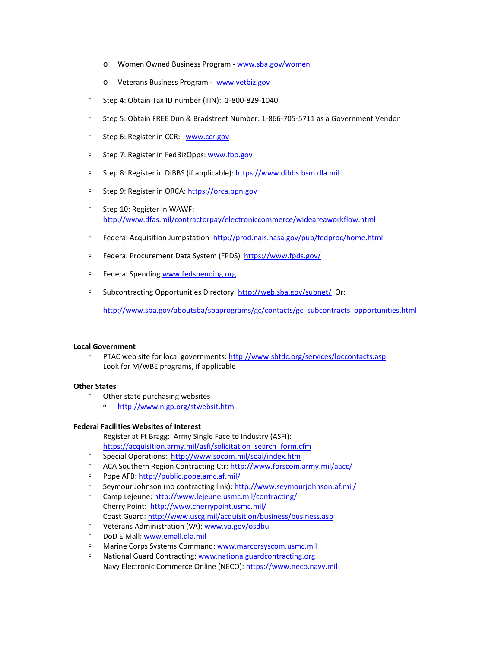- o Women Owned Business Program [www.sba.gov/women](http://www.sba.gov/women)
- o Veterans Business Program - [www.vetbiz.gov](http://www.vetbiz.gov/)
- Step 4: Obtain Tax ID number (TIN): 1-800-829-1040
- Step 5: Obtain FREE Dun & Bradstreet Number: 1-866-705-5711 as a Government Vendor
- □ Step 6: Register in CCR: [www.ccr.gov](http://www.ccr.gov/)
- □ Step 7: Register in FedBizOpps: [www.fbo.gov](http://www.fbo.gov/)
- Step 8: Register in DIBBS (if applicable): [https://www.dibbs.bsm.dla.mil](https://www.dibbs.bsm.dla.mil/)
- □ Step 9: Register in ORCA: https://orca.bpn.gov
- □ Step 10: Register in WAWF: <http://www.dfas.mil/contractorpay/electroniccommerce/wideareaworkflow.html>
- Federal Acquisition Jumpstation<http://prod.nais.nasa.gov/pub/fedproc/home.html>
- Federal Procurement Data System (FPDS)<https://www.fpds.gov/>
- □ Federal Spendin[g www.fedspending.org](http://www.fedspending.org/)
- □ Subcontracting Opportunities Directory:<http://web.sba.gov/subnet/>Or:

[http://www.sba.gov/aboutsba/sbaprograms/gc/contacts/gc\\_subcontracts\\_opportunities.html](http://www.sba.gov/aboutsba/sbaprograms/gc/contacts/gc_subcontracts_opportunities.html)

## **Local Government**

- PTAC web site for local governments[: http://www.sbtdc.org/services/loccontacts.asp](http://www.sbtdc.org/services/loccontacts.asp)
- □ Look for M/WBE programs, if applicable

#### **Other States**

- Other state purchasing websites
	- <http://www.nigp.org/stwebsit.htm>

#### **Federal Facilities Websites of Interest**

- Register at Ft Bragg: Army Single Face to Industry (ASFI): [https://acquisition.army.mil/asfi/solicitation\\_search\\_form.cfm](https://acquisition.army.mil/asfi/solicitation_search_form.cfm)
- Special Operations: <http://www.socom.mil/soal/index.htm>
- □ ACA Southern Region Contracting Ctr[: http://www.forscom.army.mil/aacc/](http://www.forscom.army.mil/aacc/)
- Pope AFB[: http://public.pope.amc.af.mil/](http://public.pope.amc.af.mil/)
- Seymour Johnson (no contracting link)[: http://www.seymourjohnson.af.mil/](http://www.seymourjohnson.af.mil/)
- Camp Lejeune[: http://www.lejeune.usmc.mil/contracting/](http://www.lejeune.usmc.mil/contracting/)
- Cherry Point: <http://www.cherrypoint.usmc.mil/>
- Coast Guard:<http://www.uscg.mil/acquisition/business/business.asp>
- Veterans Administration (VA): [www.va.gov/osdbu](http://www.va.gov/osdbu)
- DoD E Mall: [www.emall.dla.mil](http://www.emall.dla.mil/)
- □ Marine Corps Systems Command[: www.marcorsyscom.usmc.mil](http://www.marcorsyscom.usmc.mil/)
- n National Guard Contracting[: www.nationalguardcontracting.org](http://www.nationalguardcontracting.org/)
- n Navy Electronic Commerce Online (NECO): [https://www.neco.navy.mil](https://www.neco.navy.mil/)